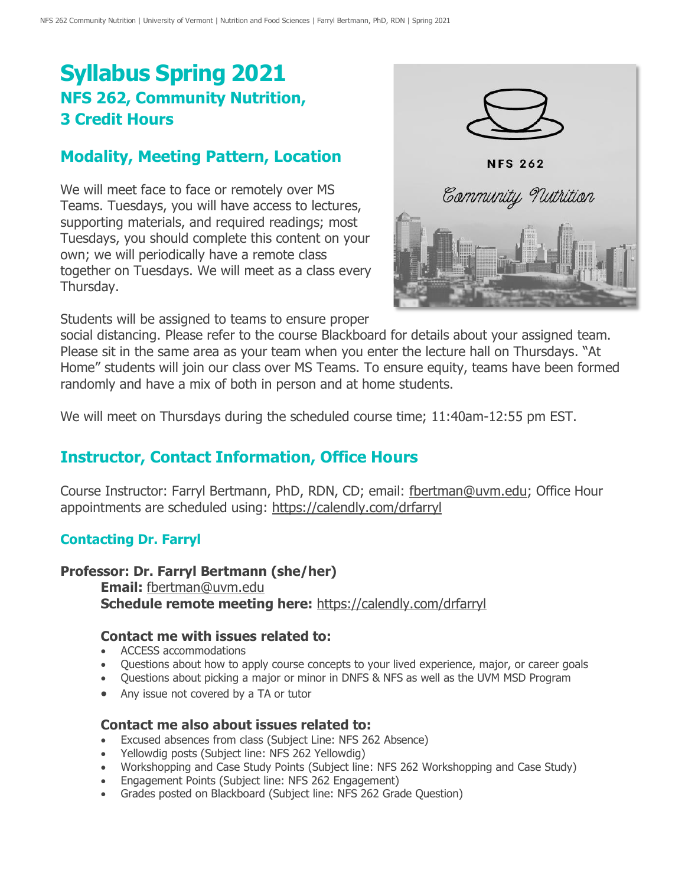# **Syllabus Spring 2021 NFS 262, Community Nutrition, 3 Credit Hours**

## **Modality, Meeting Pattern, Location**

We will meet face to face or remotely over MS Teams. Tuesdays, you will have access to lectures, supporting materials, and required readings; most Tuesdays, you should complete this content on your own; we will periodically have a remote class together on Tuesdays. We will meet as a class every Thursday.



Students will be assigned to teams to ensure proper

social distancing. Please refer to the course Blackboard for details about your assigned team. Please sit in the same area as your team when you enter the lecture hall on Thursdays. "At Home" students will join our class over MS Teams. To ensure equity, teams have been formed randomly and have a mix of both in person and at home students.

We will meet on Thursdays during the scheduled course time; 11:40am-12:55 pm EST.

## **Instructor, Contact Information, Office Hours**

Course Instructor: Farryl Bertmann, PhD, RDN, CD; email: [fbertman@uvm.edu;](mailto:fbertman@uvm.edu) Office Hour appointments are scheduled using:<https://calendly.com/drfarryl>

#### **Contacting Dr. Farryl**

#### **Professor: Dr. Farryl Bertmann (she/her) Email:** [fbertman@uvm.edu](mailto:fbertman@uvm.edu) **Schedule remote meeting here:** <https://calendly.com/drfarryl>

#### **Contact me with issues related to:**

- ACCESS accommodations
- Questions about how to apply course concepts to your lived experience, major, or career goals
- Questions about picking a major or minor in DNFS & NFS as well as the UVM MSD Program
- Any issue not covered by a TA or tutor

#### **Contact me also about issues related to:**

- Excused absences from class (Subject Line: NFS 262 Absence)
- Yellowdig posts (Subject line: NFS 262 Yellowdig)
- Workshopping and Case Study Points (Subject line: NFS 262 Workshopping and Case Study)
- Engagement Points (Subject line: NFS 262 Engagement)
- Grades posted on Blackboard (Subject line: NFS 262 Grade Question)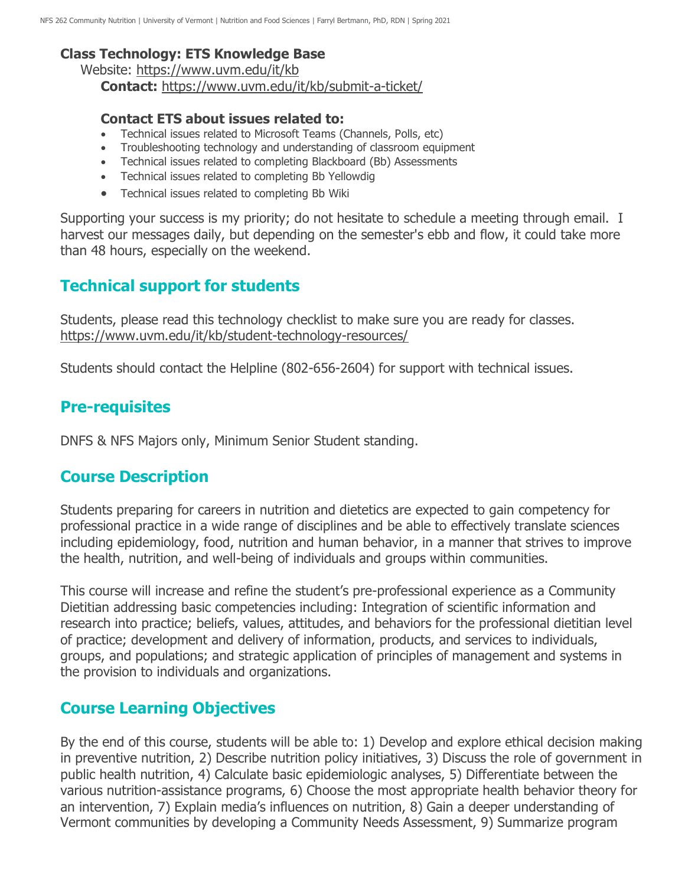#### **Class Technology: ETS Knowledge Base**

Website:<https://www.uvm.edu/it/kb> **Contact:** <https://www.uvm.edu/it/kb/submit-a-ticket/>

#### **Contact ETS about issues related to:**

- Technical issues related to Microsoft Teams (Channels, Polls, etc)
- Troubleshooting technology and understanding of classroom equipment
- Technical issues related to completing Blackboard (Bb) Assessments
- Technical issues related to completing Bb Yellowdig
- Technical issues related to completing Bb Wiki

Supporting your success is my priority; do not hesitate to schedule a meeting through email. I harvest our messages daily, but depending on the semester's ebb and flow, it could take more than 48 hours, especially on the weekend.

## **Technical support for students**

Students, please read this technology checklist to make sure you are ready for classes. <https://www.uvm.edu/it/kb/student-technology-resources/>

Students should contact the Helpline (802-656-2604) for support with technical issues.

## **Pre-requisites**

DNFS & NFS Majors only, Minimum Senior Student standing.

#### **Course Description**

Students preparing for careers in nutrition and dietetics are expected to gain competency for professional practice in a wide range of disciplines and be able to effectively translate sciences including epidemiology, food, nutrition and human behavior, in a manner that strives to improve the health, nutrition, and well-being of individuals and groups within communities.

This course will increase and refine the student's pre-professional experience as a Community Dietitian addressing basic competencies including: Integration of scientific information and research into practice; beliefs, values, attitudes, and behaviors for the professional dietitian level of practice; development and delivery of information, products, and services to individuals, groups, and populations; and strategic application of principles of management and systems in the provision to individuals and organizations.

#### **Course Learning Objectives**

By the end of this course, students will be able to: 1) Develop and explore ethical decision making in preventive nutrition, 2) Describe nutrition policy initiatives, 3) Discuss the role of government in public health nutrition, 4) Calculate basic epidemiologic analyses, 5) Differentiate between the various nutrition-assistance programs, 6) Choose the most appropriate health behavior theory for an intervention, 7) Explain media's influences on nutrition, 8) Gain a deeper understanding of Vermont communities by developing a Community Needs Assessment, 9) Summarize program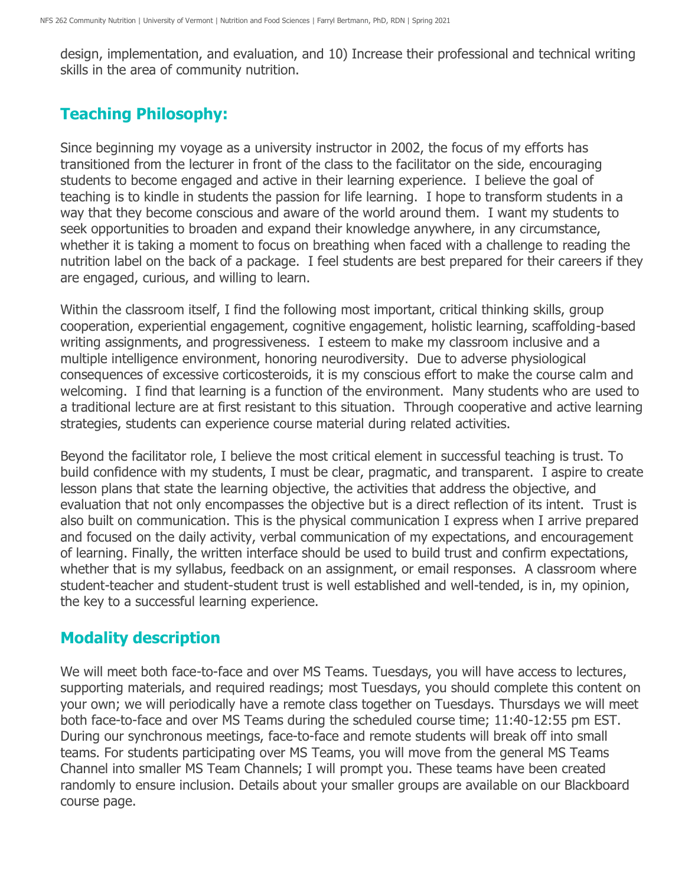design, implementation, and evaluation, and 10) Increase their professional and technical writing skills in the area of community nutrition.

## **Teaching Philosophy:**

Since beginning my voyage as a university instructor in 2002, the focus of my efforts has transitioned from the lecturer in front of the class to the facilitator on the side, encouraging students to become engaged and active in their learning experience. I believe the goal of teaching is to kindle in students the passion for life learning. I hope to transform students in a way that they become conscious and aware of the world around them. I want my students to seek opportunities to broaden and expand their knowledge anywhere, in any circumstance, whether it is taking a moment to focus on breathing when faced with a challenge to reading the nutrition label on the back of a package. I feel students are best prepared for their careers if they are engaged, curious, and willing to learn.

Within the classroom itself, I find the following most important, critical thinking skills, group cooperation, experiential engagement, cognitive engagement, holistic learning, scaffolding-based writing assignments, and progressiveness. I esteem to make my classroom inclusive and a multiple intelligence environment, honoring neurodiversity. Due to adverse physiological consequences of excessive corticosteroids, it is my conscious effort to make the course calm and welcoming. I find that learning is a function of the environment. Many students who are used to a traditional lecture are at first resistant to this situation. Through cooperative and active learning strategies, students can experience course material during related activities.

Beyond the facilitator role, I believe the most critical element in successful teaching is trust. To build confidence with my students, I must be clear, pragmatic, and transparent. I aspire to create lesson plans that state the learning objective, the activities that address the objective, and evaluation that not only encompasses the objective but is a direct reflection of its intent. Trust is also built on communication. This is the physical communication I express when I arrive prepared and focused on the daily activity, verbal communication of my expectations, and encouragement of learning. Finally, the written interface should be used to build trust and confirm expectations, whether that is my syllabus, feedback on an assignment, or email responses. A classroom where student-teacher and student-student trust is well established and well-tended, is in, my opinion, the key to a successful learning experience.

## **Modality description**

We will meet both face-to-face and over MS Teams. Tuesdays, you will have access to lectures, supporting materials, and required readings; most Tuesdays, you should complete this content on your own; we will periodically have a remote class together on Tuesdays. Thursdays we will meet both face-to-face and over MS Teams during the scheduled course time; 11:40-12:55 pm EST. During our synchronous meetings, face-to-face and remote students will break off into small teams. For students participating over MS Teams, you will move from the general MS Teams Channel into smaller MS Team Channels; I will prompt you. These teams have been created randomly to ensure inclusion. Details about your smaller groups are available on our Blackboard course page.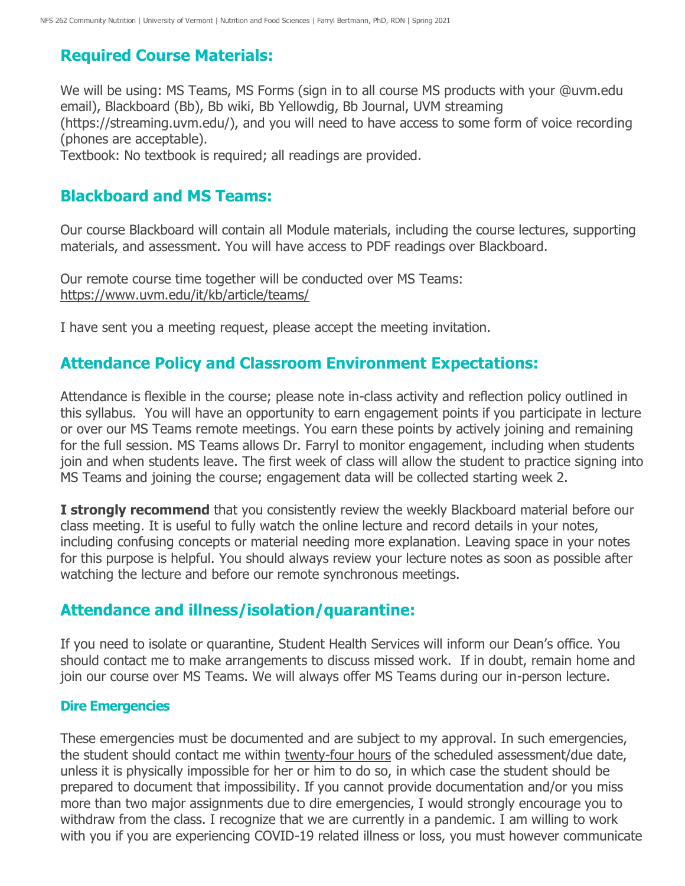## **Required Course Materials:**

We will be using: MS Teams, MS Forms (sign in to all course MS products with your @uvm.edu email), Blackboard (Bb), Bb wiki, Bb Yellowdig, Bb Journal, UVM streaming (https://streaming.uvm.edu/), and you will need to have access to some form of voice recording (phones are acceptable).

Textbook: No textbook is required; all readings are provided.

#### **Blackboard and MS Teams:**

Our course Blackboard will contain all Module materials, including the course lectures, supporting materials, and assessment. You will have access to PDF readings over Blackboard.

Our remote course time together will be conducted over MS Teams: <https://www.uvm.edu/it/kb/article/teams/>

I have sent you a meeting request, please accept the meeting invitation.

#### **Attendance Policy and Classroom Environment Expectations:**

Attendance is flexible in the course; please note in-class activity and reflection policy outlined in this syllabus. You will have an opportunity to earn engagement points if you participate in lecture or over our MS Teams remote meetings. You earn these points by actively joining and remaining for the full session. MS Teams allows Dr. Farryl to monitor engagement, including when students join and when students leave. The first week of class will allow the student to practice signing into MS Teams and joining the course; engagement data will be collected starting week 2.

**I strongly recommend** that you consistently review the weekly Blackboard material before our class meeting. It is useful to fully watch the online lecture and record details in your notes, including confusing concepts or material needing more explanation. Leaving space in your notes for this purpose is helpful. You should always review your lecture notes as soon as possible after watching the lecture and before our remote synchronous meetings.

#### **Attendance and illness/isolation/quarantine:**

If you need to isolate or quarantine, Student Health Services will inform our Dean's office. You should contact me to make arrangements to discuss missed work. If in doubt, remain home and join our course over MS Teams. We will always offer MS Teams during our in-person lecture.

#### **Dire Emergencies**

These emergencies must be documented and are subject to my approval. In such emergencies, the student should contact me within twenty-four hours of the scheduled assessment/due date, unless it is physically impossible for her or him to do so, in which case the student should be prepared to document that impossibility. If you cannot provide documentation and/or you miss more than two major assignments due to dire emergencies, I would strongly encourage you to withdraw from the class. I recognize that we are currently in a pandemic. I am willing to work with you if you are experiencing COVID-19 related illness or loss, you must however communicate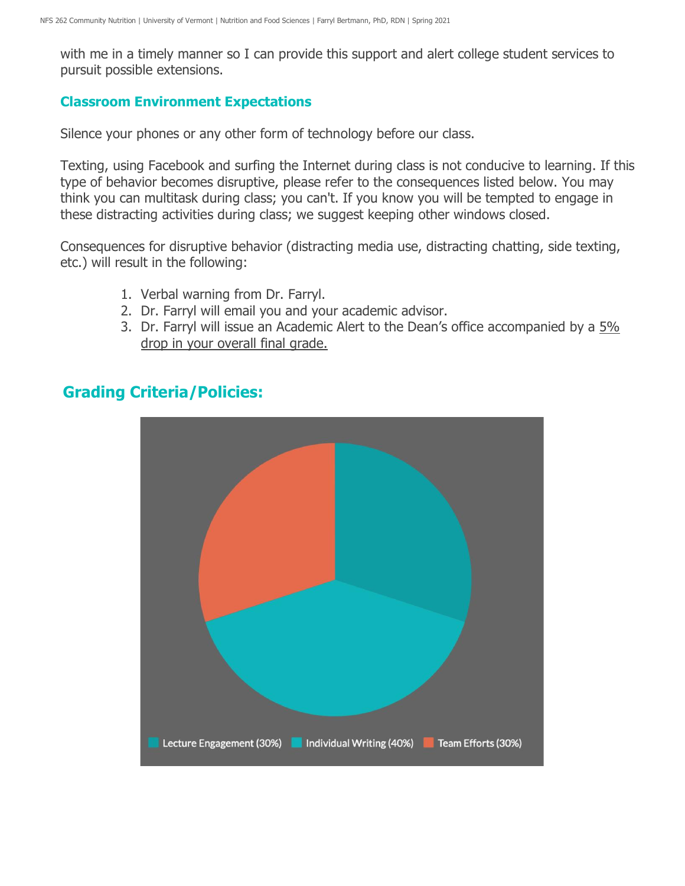with me in a timely manner so I can provide this support and alert college student services to pursuit possible extensions.

#### **Classroom Environment Expectations**

Silence your phones or any other form of technology before our class.

Texting, using Facebook and surfing the Internet during class is not conducive to learning. If this type of behavior becomes disruptive, please refer to the consequences listed below. You may think you can multitask during class; you can't. If you know you will be tempted to engage in these distracting activities during class; we suggest keeping other windows closed.

Consequences for disruptive behavior (distracting media use, distracting chatting, side texting, etc.) will result in the following:

- 1. Verbal warning from Dr. Farryl.
- 2. Dr. Farryl will email you and your academic advisor.
- 3. Dr. Farryl will issue an Academic Alert to the Dean's office accompanied by a 5% drop in your overall final grade.

## **Grading Criteria/Policies:**

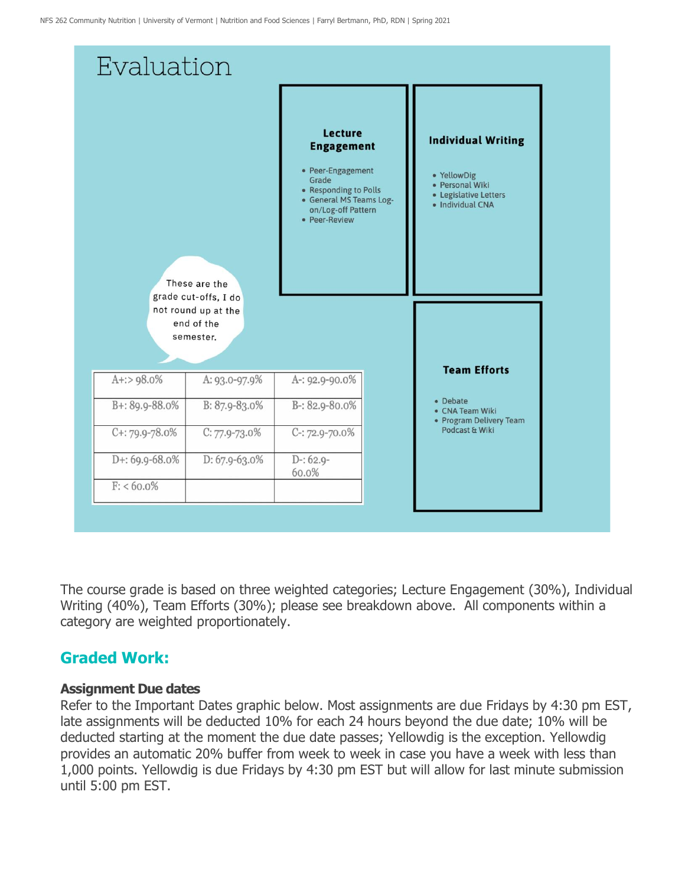

The course grade is based on three weighted categories; Lecture Engagement (30%), Individual Writing (40%), Team Efforts (30%); please see breakdown above. All components within a category are weighted proportionately.

## **Graded Work:**

#### **Assignment Due dates**

Refer to the Important Dates graphic below. Most assignments are due Fridays by 4:30 pm EST, late assignments will be deducted 10% for each 24 hours beyond the due date; 10% will be deducted starting at the moment the due date passes; Yellowdig is the exception. Yellowdig provides an automatic 20% buffer from week to week in case you have a week with less than 1,000 points. Yellowdig is due Fridays by 4:30 pm EST but will allow for last minute submission until 5:00 pm EST.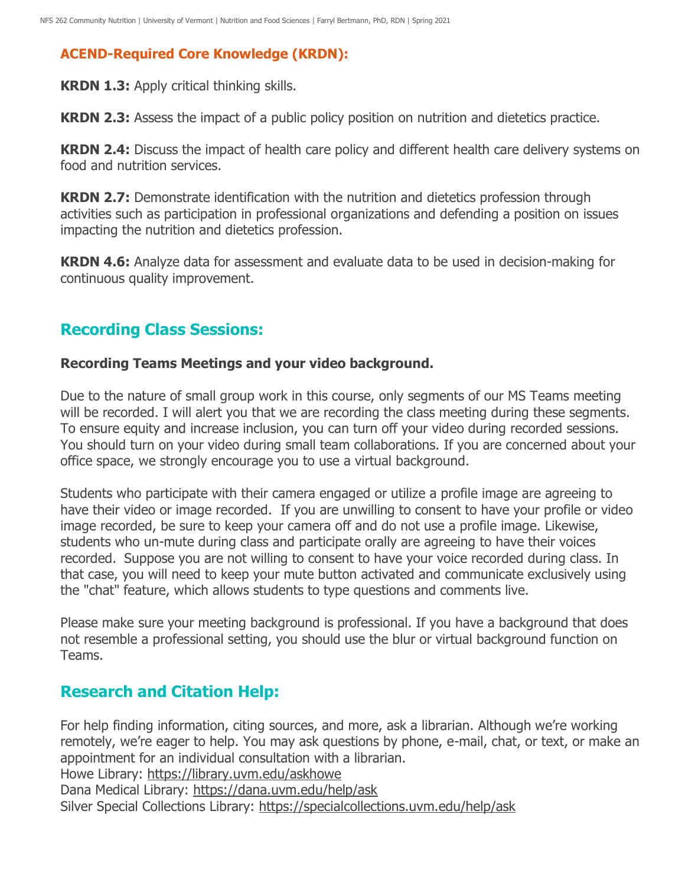## **ACEND-Required Core Knowledge (KRDN):**

**KRDN 1.3:** Apply critical thinking skills.

**KRDN 2.3:** Assess the impact of a public policy position on nutrition and dietetics practice.

**KRDN 2.4:** Discuss the impact of health care policy and different health care delivery systems on food and nutrition services.

**KRDN 2.7:** Demonstrate identification with the nutrition and dietetics profession through activities such as participation in professional organizations and defending a position on issues impacting the nutrition and dietetics profession.

**KRDN 4.6:** Analyze data for assessment and evaluate data to be used in decision-making for continuous quality improvement.

## **Recording Class Sessions:**

#### **Recording Teams Meetings and your video background.**

Due to the nature of small group work in this course, only segments of our MS Teams meeting will be recorded. I will alert you that we are recording the class meeting during these segments. To ensure equity and increase inclusion, you can turn off your video during recorded sessions. You should turn on your video during small team collaborations. If you are concerned about your office space, we strongly encourage you to use a virtual background.

Students who participate with their camera engaged or utilize a profile image are agreeing to have their video or image recorded. If you are unwilling to consent to have your profile or video image recorded, be sure to keep your camera off and do not use a profile image. Likewise, students who un-mute during class and participate orally are agreeing to have their voices recorded. Suppose you are not willing to consent to have your voice recorded during class. In that case, you will need to keep your mute button activated and communicate exclusively using the "chat" feature, which allows students to type questions and comments live.

Please make sure your meeting background is professional. If you have a background that does not resemble a professional setting, you should use the blur or virtual background function on Teams.

## **Research and Citation Help:**

For help finding information, citing sources, and more, ask a librarian. Although we're working remotely, we're eager to help. You may ask questions by phone, e-mail, chat, or text, or make an appointment for an individual consultation with a librarian.

Howe Library:<https://library.uvm.edu/askhowe>

Dana Medical Library:<https://dana.uvm.edu/help/ask>

Silver Special Collections Library:<https://specialcollections.uvm.edu/help/ask>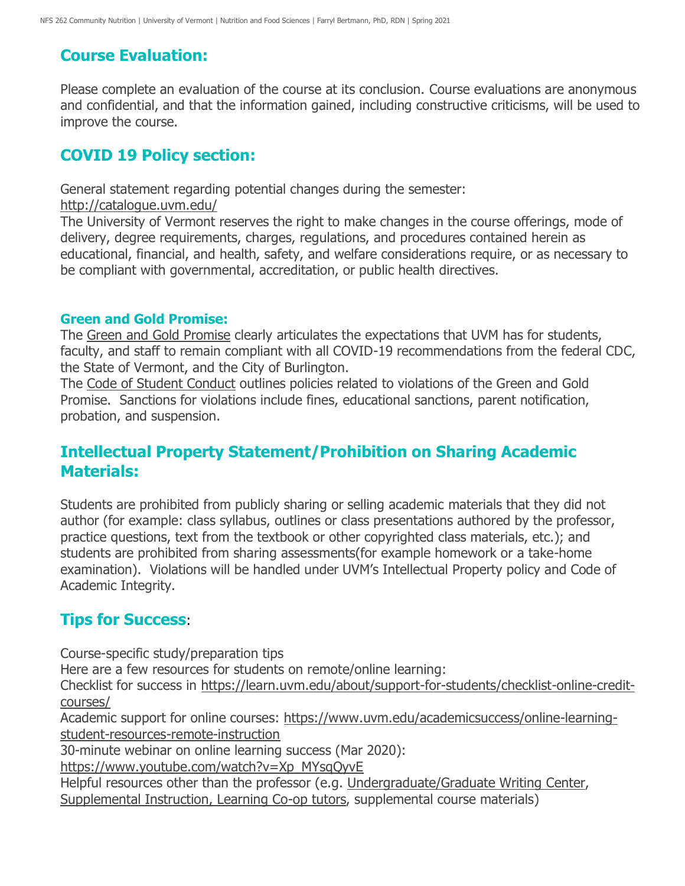## **Course Evaluation:**

Please complete an evaluation of the course at its conclusion. Course evaluations are anonymous and confidential, and that the information gained, including constructive criticisms, will be used to improve the course.

## **COVID 19 Policy section:**

General statement regarding potential changes during the semester:

<http://catalogue.uvm.edu/>

The University of Vermont reserves the right to make changes in the course offerings, mode of delivery, degree requirements, charges, regulations, and procedures contained herein as educational, financial, and health, safety, and welfare considerations require, or as necessary to be compliant with governmental, accreditation, or public health directives.

#### **Green and Gold Promise:**

The [Green and Gold Promise](https://www.uvm.edu/deanofstudents/green-and-gold-promise) clearly articulates the expectations that UVM has for students, faculty, and staff to remain compliant with all COVID-19 recommendations from the federal CDC, the State of Vermont, and the City of Burlington.

The [Code of Student Conduct](https://www.uvm.edu/sites/default/files/UVM-Policies/policies/studentcode.pdf) outlines policies related to violations of the Green and Gold Promise. Sanctions for violations include fines, educational sanctions, parent notification, probation, and suspension.

## **Intellectual Property Statement/Prohibition on Sharing Academic Materials:**

Students are prohibited from publicly sharing or selling academic materials that they did not author (for example: class syllabus, outlines or class presentations authored by the professor, practice questions, text from the textbook or other copyrighted class materials, etc.); and students are prohibited from sharing assessments(for example homework or a take-home examination). Violations will be handled under UVM's Intellectual Property policy and Code of Academic Integrity.

## **Tips for Success**:

Course-specific study/preparation tips

Here are a few resources for students on remote/online learning:

Checklist for success in [https://learn.uvm.edu/about/support-for-students/checklist-online-credit](https://learn.uvm.edu/about/support-for-students/checklist-online-credit-courses/)[courses/](https://learn.uvm.edu/about/support-for-students/checklist-online-credit-courses/)

Academic support for online courses: [https://www.uvm.edu/academicsuccess/online-learning](https://www.uvm.edu/academicsuccess/online-learning-student-resources-remote-instruction)[student-resources-remote-instruction](https://www.uvm.edu/academicsuccess/online-learning-student-resources-remote-instruction)

30-minute webinar on online learning success (Mar 2020):

[https://www.youtube.com/watch?v=Xp\\_MYsqQyvE](https://www.youtube.com/watch?v=Xp_MYsqQyvE)

Helpful resources other than the professor (e.g. [Undergraduate/Graduate Writing Center,](https://www.uvm.edu/uwi/writingcenter) [Supplemental Instruction, Learning Co-op tutors,](https://www.uvm.edu/academicsuccess/tutoring_center) supplemental course materials)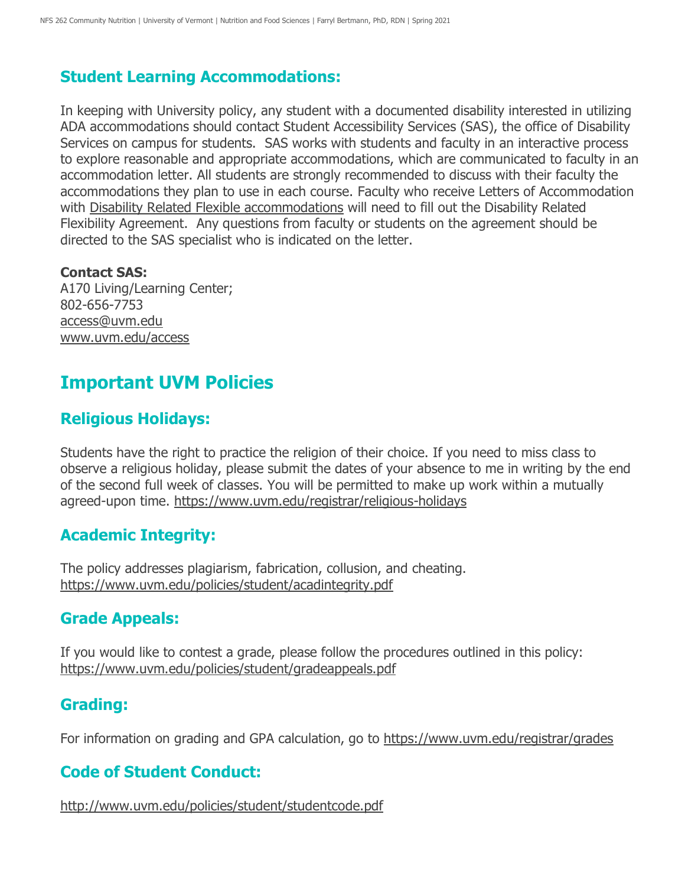#### **Student Learning Accommodations:**

In keeping with University policy, any student with a documented disability interested in utilizing ADA accommodations should contact Student Accessibility Services (SAS), the office of Disability Services on campus for students. SAS works with students and faculty in an interactive process to explore reasonable and appropriate accommodations, which are communicated to faculty in an accommodation letter. All students are strongly recommended to discuss with their faculty the accommodations they plan to use in each course. Faculty who receive Letters of Accommodation with [Disability Related Flexible accommodations](https://www.uvm.edu/academicsuccess/forms/disability-related-flexibility-agreement) will need to fill out the Disability Related Flexibility Agreement. Any questions from faculty or students on the agreement should be directed to the SAS specialist who is indicated on the letter.

#### **Contact SAS:**

A170 Living/Learning Center; 802-656-7753 [access@uvm.edu](mailto:access@uvm.edu) [www.uvm.edu/access](http://www.uvm.edu/access)

# **Important UVM Policies**

## **Religious Holidays:**

Students have the right to practice the religion of their choice. If you need to miss class to observe a religious holiday, please submit the dates of your absence to me in writing by the end of the second full week of classes. You will be permitted to make up work within a mutually agreed-upon time.<https://www.uvm.edu/registrar/religious-holidays>

## **Academic Integrity:**

The policy addresses plagiarism, fabrication, collusion, and cheating. <https://www.uvm.edu/policies/student/acadintegrity.pdf>

## **Grade Appeals:**

If you would like to contest a grade, please follow the procedures outlined in this policy: <https://www.uvm.edu/policies/student/gradeappeals.pdf>

## **Grading:**

For information on grading and GPA calculation, go to <https://www.uvm.edu/registrar/grades>

## **Code of Student Conduct:**

<http://www.uvm.edu/policies/student/studentcode.pdf>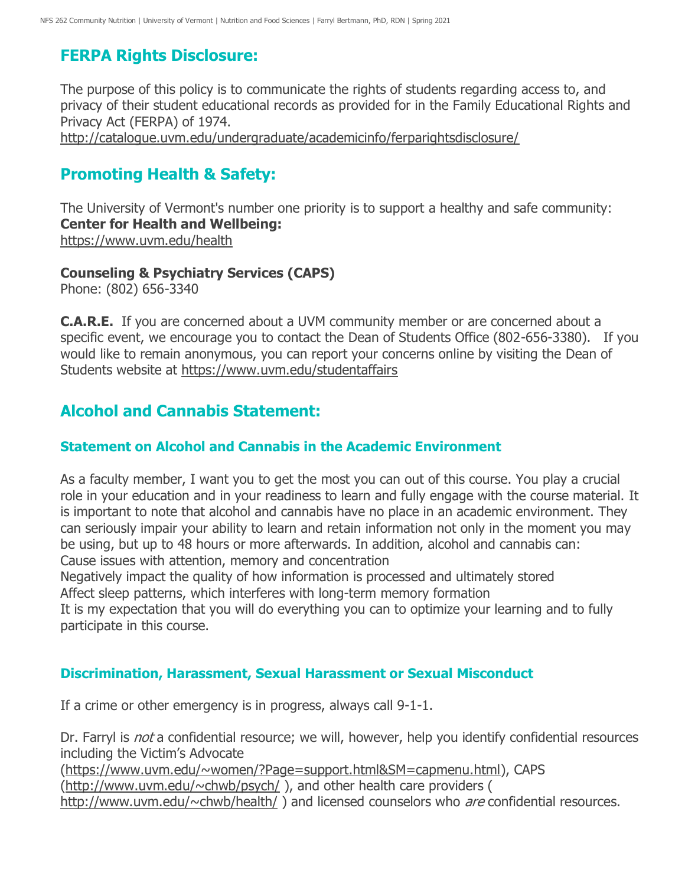## **FERPA Rights Disclosure:**

The purpose of this policy is to communicate the rights of students regarding access to, and privacy of their student educational records as provided for in the Family Educational Rights and Privacy Act (FERPA) of 1974. <http://catalogue.uvm.edu/undergraduate/academicinfo/ferparightsdisclosure/>

## **Promoting Health & Safety:**

The University of Vermont's number one priority is to support a healthy and safe community: **Center for Health and Wellbeing:** <https://www.uvm.edu/health>

#### **Counseling & Psychiatry Services (CAPS)**

Phone: (802) 656-3340

**C.A.R.E.** If you are concerned about a UVM community member or are concerned about a specific event, we encourage you to contact the Dean of Students Office (802-656-3380). If you would like to remain anonymous, you can report your concerns online by visiting the Dean of Students website at <https://www.uvm.edu/studentaffairs>

## **Alcohol and Cannabis Statement:**

#### **Statement on Alcohol and Cannabis in the Academic Environment**

As a faculty member, I want you to get the most you can out of this course. You play a crucial role in your education and in your readiness to learn and fully engage with the course material. It is important to note that alcohol and cannabis have no place in an academic environment. They can seriously impair your ability to learn and retain information not only in the moment you may be using, but up to 48 hours or more afterwards. In addition, alcohol and cannabis can: Cause issues with attention, memory and concentration

Negatively impact the quality of how information is processed and ultimately stored Affect sleep patterns, which interferes with long-term memory formation

It is my expectation that you will do everything you can to optimize your learning and to fully participate in this course.

#### **Discrimination, Harassment, Sexual Harassment or Sexual Misconduct**

If a crime or other emergency is in progress, always call 9-1-1.

Dr. Farryl is *not* a confidential resource; we will, however, help you identify confidential resources including the Victim's Advocate

[\(https://www.uvm.edu/~women/?Page=support.html&SM=capmenu.html\)](https://www.uvm.edu/~women/?Page=support.html&SM=capmenu.html), CAPS [\(http://www.uvm.edu/~chwb/psych/](http://www.uvm.edu/~chwb/psych/) ), and other health care providers ( <http://www.uvm.edu/~chwb/health/>) and licensed counselors who are confidential resources.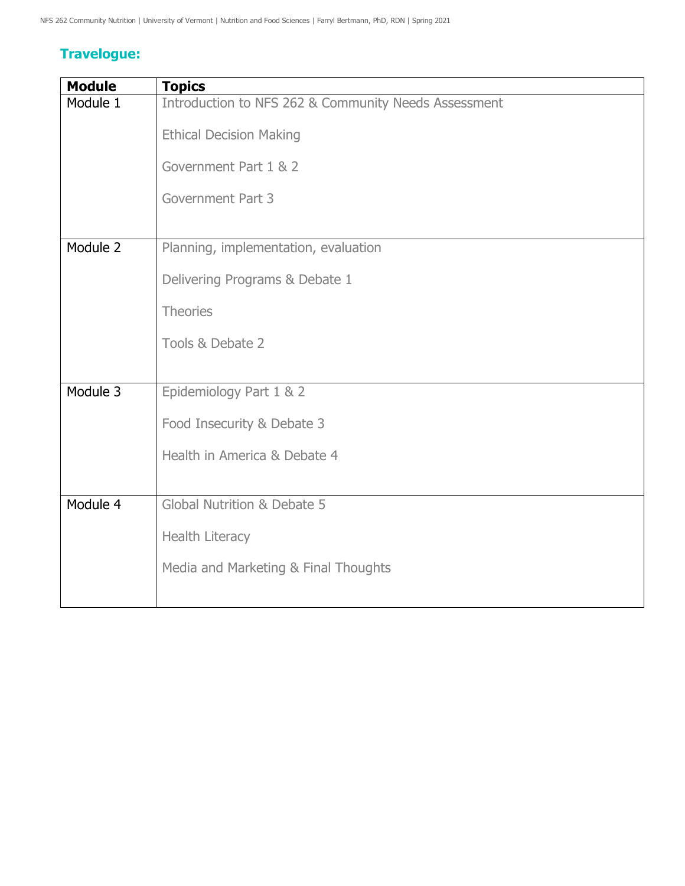## **Travelogue:**

| <b>Module</b> | <b>Topics</b>                                        |  |  |
|---------------|------------------------------------------------------|--|--|
| Module 1      | Introduction to NFS 262 & Community Needs Assessment |  |  |
|               | <b>Ethical Decision Making</b>                       |  |  |
|               |                                                      |  |  |
|               | Government Part 1 & 2                                |  |  |
|               | Government Part 3                                    |  |  |
|               |                                                      |  |  |
| Module 2      | Planning, implementation, evaluation                 |  |  |
|               | Delivering Programs & Debate 1                       |  |  |
|               | Theories                                             |  |  |
|               | Tools & Debate 2                                     |  |  |
|               |                                                      |  |  |
| Module 3      | Epidemiology Part 1 & 2                              |  |  |
|               | Food Insecurity & Debate 3                           |  |  |
|               | Health in America & Debate 4                         |  |  |
|               |                                                      |  |  |
| Module 4      | Global Nutrition & Debate 5                          |  |  |
|               | Health Literacy                                      |  |  |
|               |                                                      |  |  |
|               | Media and Marketing & Final Thoughts                 |  |  |
|               |                                                      |  |  |